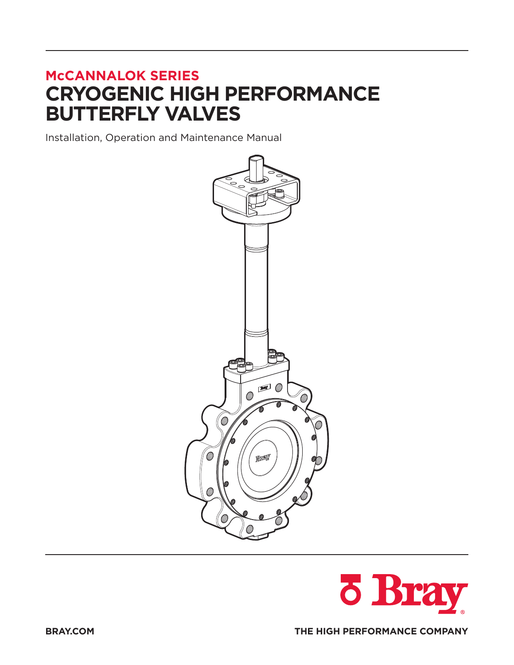# **McCANNALOK SERIES CRYOGENIC HIGH PERFORMANCE BUTTERFLY VALVES**

Installation, Operation and Maintenance Manual



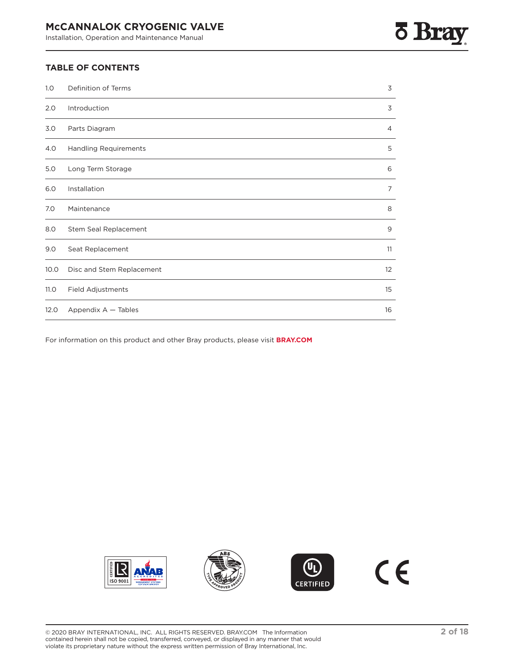# **5 Bra**

## **TABLE OF CONTENTS**

| 1.0  | Definition of Terms          | 3  |
|------|------------------------------|----|
| 2.0  | Introduction                 | 3  |
| 3.0  | Parts Diagram                | 4  |
| 4.0  | <b>Handling Requirements</b> | 5  |
| 5.0  | Long Term Storage            | 6  |
| 6.0  | Installation                 | 7  |
| 7.0  | Maintenance                  | 8  |
| 8.0  | Stem Seal Replacement        | 9  |
| 9.0  | Seat Replacement             | 11 |
| 10.0 | Disc and Stem Replacement    | 12 |
| 11.0 | Field Adjustments            | 15 |
| 12.0 | Appendix A - Tables          | 16 |

For information on this product and other Bray products, please visit **BRAY.COM**







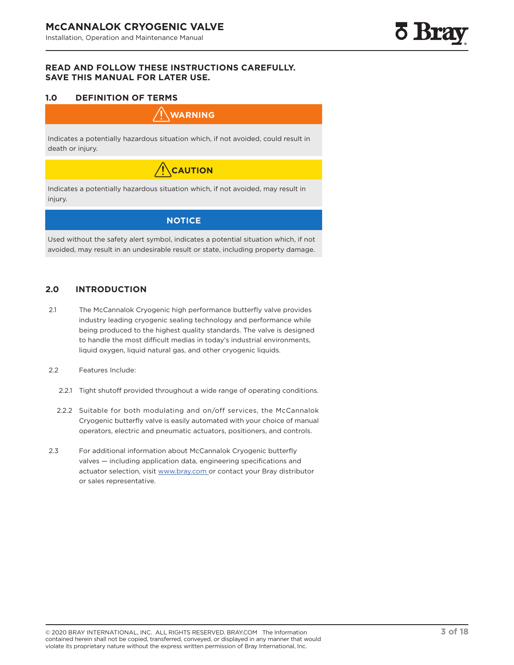## <span id="page-2-0"></span>**READ AND FOLLOW THESE INSTRUCTIONS CAREFULLY. SAVE THIS MANUAL FOR LATER USE.**

## **1.0 DEFINITION OF TERMS**

## **WARNING**

Indicates a potentially hazardous situation which, if not avoided, could result in death or injury.

# $\bigwedge$ CAUTION

Indicates a potentially hazardous situation which, if not avoided, may result in injury.

## **NOTICE**

Used without the safety alert symbol, indicates a potential situation which, if not avoided, may result in an undesirable result or state, including property damage.

## **2.0 INTRODUCTION**

- 2.1 The McCannalok Cryogenic high performance butterfly valve provides industry leading cryogenic sealing technology and performance while being produced to the highest quality standards. The valve is designed to handle the most difficult medias in today's industrial environments, liquid oxygen, liquid natural gas, and other cryogenic liquids.
- 2.2 Features Include:
	- 2.2.1 Tight shutoff provided throughout a wide range of operating conditions.
	- 2.2.2 Suitable for both modulating and on/off services, the McCannalok Cryogenic butterfly valve is easily automated with your choice of manual operators, electric and pneumatic actuators, positioners, and controls.
- 2.3 For additional information about McCannalok Cryogenic butterfly valves — including application data, engineering specifications and actuator selection, visit www.bray.com or contact your Bray distributor or sales representative.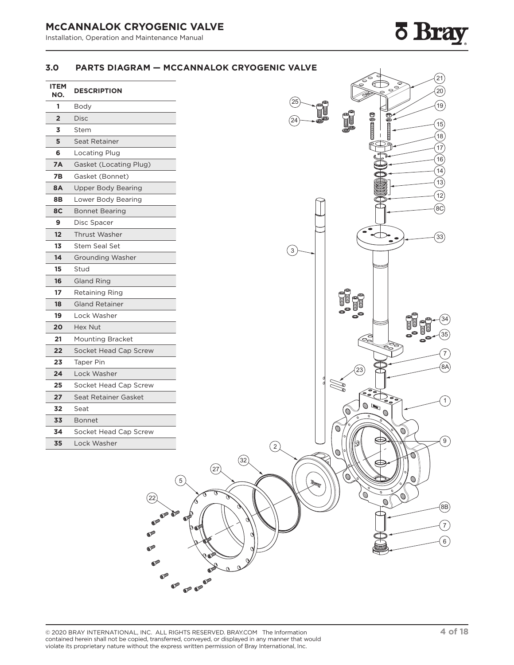## <span id="page-3-0"></span>**McCANNALOK CRYOGENIC VALVE**

Installation, Operation and Maintenance Manual

# **7 Bray**

## **3.0 PARTS DIAGRAM — MCCANNALOK CRYOGENIC VALVE**

| <b>ITEM</b><br>NO. | <b>DESCRIPTION</b>        |  |
|--------------------|---------------------------|--|
| 1                  | Body                      |  |
| $\overline{2}$     | Disc                      |  |
| 3                  | Stem                      |  |
| 5                  | Seat Retainer             |  |
| 6                  | Locating Plug             |  |
| <b>7A</b>          | Gasket (Locating Plug)    |  |
| 7В                 | Gasket (Bonnet)           |  |
| <b>8A</b>          | <b>Upper Body Bearing</b> |  |
| 8Β                 | Lower Body Bearing        |  |
| 8C                 | <b>Bonnet Bearing</b>     |  |
| 9                  | Disc Spacer               |  |
| 12                 | <b>Thrust Washer</b>      |  |
| 13                 | <b>Stem Seal Set</b>      |  |
| 14                 | <b>Grounding Washer</b>   |  |
| 15<br>Stud         |                           |  |
| 16                 | Gland Ring                |  |
| 17                 | Retaining Ring            |  |
| 18                 | <b>Gland Retainer</b>     |  |
| 19                 | Lock Washer               |  |
| 20                 | Hex Nut                   |  |
| 21                 | <b>Mounting Bracket</b>   |  |
| 22                 | Socket Head Cap Screw     |  |
| 23                 | <b>Taper Pin</b>          |  |
| 24                 | Lock Washer               |  |
| 25                 | Socket Head Cap Screw     |  |
| 27                 | Seat Retainer Gasket      |  |
| 32                 | Seat                      |  |
| 33                 | <b>Bonnet</b>             |  |
| 34                 | Socket Head Cap Screw     |  |
| 35                 | Lock Washer               |  |



 $(22)$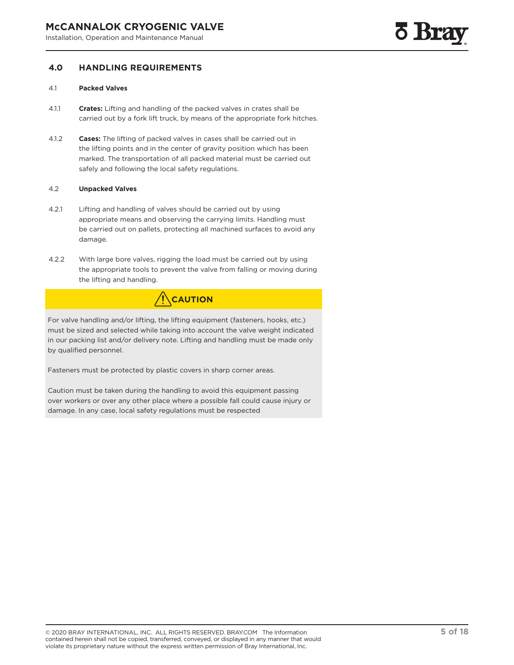## <span id="page-4-0"></span>**4.0 HANDLING REQUIREMENTS**

#### 4.1 **Packed Valves**

- 4.1.1 **Crates:** Lifting and handling of the packed valves in crates shall be carried out by a fork lift truck, by means of the appropriate fork hitches.
- 4.1.2 **Cases:** The lifting of packed valves in cases shall be carried out in the lifting points and in the center of gravity position which has been marked. The transportation of all packed material must be carried out safely and following the local safety regulations.

#### 4.2 **Unpacked Valves**

- 4.2.1 Lifting and handling of valves should be carried out by using appropriate means and observing the carrying limits. Handling must be carried out on pallets, protecting all machined surfaces to avoid any damage.
- 4.2.2 With large bore valves, rigging the load must be carried out by using the appropriate tools to prevent the valve from falling or moving during the lifting and handling.



For valve handling and/or lifting, the lifting equipment (fasteners, hooks, etc.) must be sized and selected while taking into account the valve weight indicated in our packing list and/or delivery note. Lifting and handling must be made only by qualified personnel.

Fasteners must be protected by plastic covers in sharp corner areas.

Caution must be taken during the handling to avoid this equipment passing over workers or over any other place where a possible fall could cause injury or damage. In any case, local safety regulations must be respected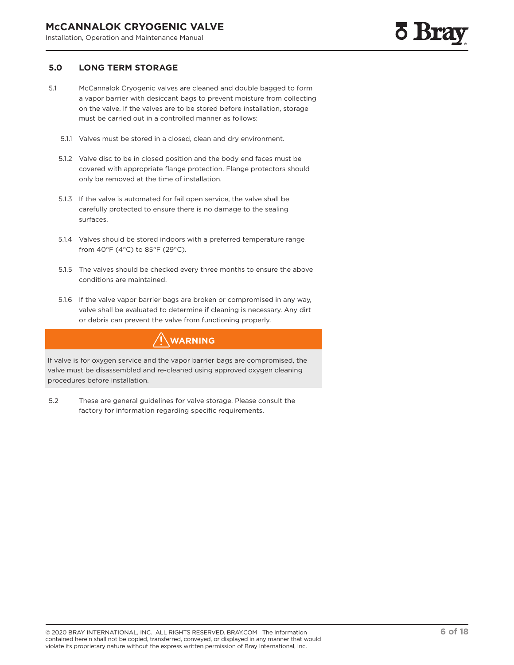## <span id="page-5-0"></span>**5.0 LONG TERM STORAGE**

- 5.1 McCannalok Cryogenic valves are cleaned and double bagged to form a vapor barrier with desiccant bags to prevent moisture from collecting on the valve. If the valves are to be stored before installation, storage must be carried out in a controlled manner as follows:
	- 5.1.1 Valves must be stored in a closed, clean and dry environment.
	- 5.1.2 Valve disc to be in closed position and the body end faces must be covered with appropriate flange protection. Flange protectors should only be removed at the time of installation.
	- 5.1.3 If the valve is automated for fail open service, the valve shall be carefully protected to ensure there is no damage to the sealing surfaces.
	- 5.1.4 Valves should be stored indoors with a preferred temperature range from 40°F (4°C) to 85°F (29°C).
	- 5.1.5 The valves should be checked every three months to ensure the above conditions are maintained.
	- 5.1.6 If the valve vapor barrier bags are broken or compromised in any way, valve shall be evaluated to determine if cleaning is necessary. Any dirt or debris can prevent the valve from functioning properly.

## **WARNING**

If valve is for oxygen service and the vapor barrier bags are compromised, the valve must be disassembled and re-cleaned using approved oxygen cleaning procedures before installation.

5.2 These are general guidelines for valve storage. Please consult the factory for information regarding specific requirements.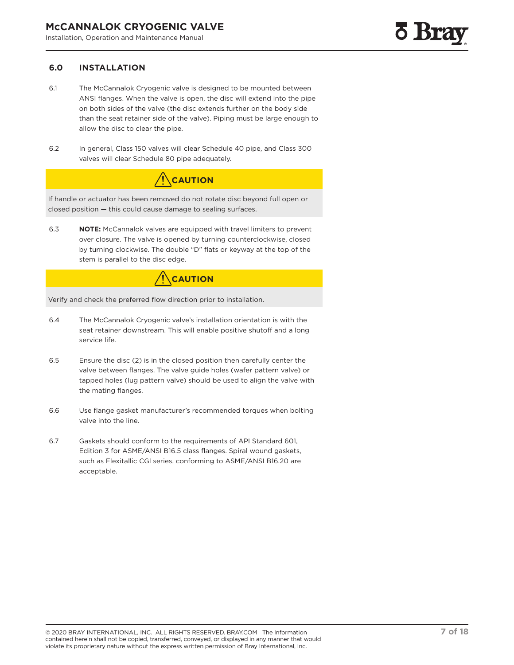## <span id="page-6-0"></span>**6.0 INSTALLATION**

- 6.1 The McCannalok Cryogenic valve is designed to be mounted between ANSI flanges. When the valve is open, the disc will extend into the pipe on both sides of the valve (the disc extends further on the body side than the seat retainer side of the valve). Piping must be large enough to allow the disc to clear the pipe.
- 6.2 In general, Class 150 valves will clear Schedule 40 pipe, and Class 300 valves will clear Schedule 80 pipe adequately.

# **CAUTION**

If handle or actuator has been removed do not rotate disc beyond full open or closed position — this could cause damage to sealing surfaces.

6.3 **NOTE:** McCannalok valves are equipped with travel limiters to prevent over closure. The valve is opened by turning counterclockwise, closed by turning clockwise. The double "D" flats or keyway at the top of the stem is parallel to the disc edge.

# **CAUTION**

Verify and check the preferred flow direction prior to installation.

- 6.4 The McCannalok Cryogenic valve's installation orientation is with the seat retainer downstream. This will enable positive shutoff and a long service life.
- 6.5 Ensure the disc (2) is in the closed position then carefully center the valve between flanges. The valve guide holes (wafer pattern valve) or tapped holes (lug pattern valve) should be used to align the valve with the mating flanges.
- 6.6 Use flange gasket manufacturer's recommended torques when bolting valve into the line.
- 6.7 Gaskets should conform to the requirements of API Standard 601, Edition 3 for ASME/ANSI B16.5 class flanges. Spiral wound gaskets, such as Flexitallic CGl series, conforming to ASME/ANSI B16.20 are acceptable.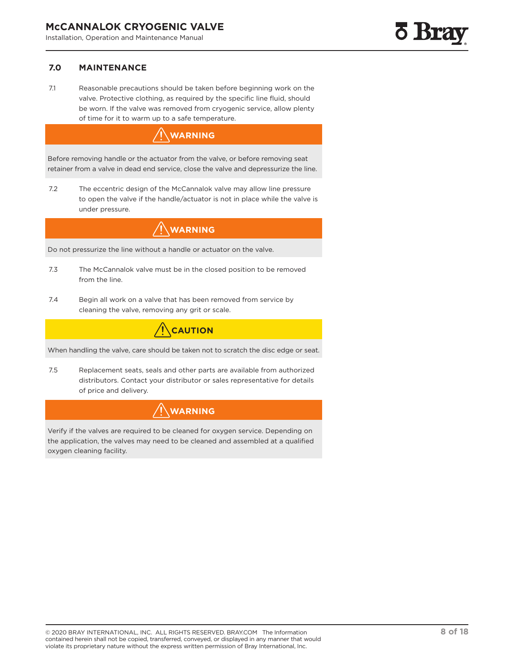## <span id="page-7-0"></span>**7.0 MAINTENANCE**

7.1 Reasonable precautions should be taken before beginning work on the valve. Protective clothing, as required by the specific line fluid, should be worn. If the valve was removed from cryogenic service, allow plenty of time for it to warm up to a safe temperature.

## **WARNING**

Before removing handle or the actuator from the valve, or before removing seat retainer from a valve in dead end service, close the valve and depressurize the line.

7.2 The eccentric design of the McCannalok valve may allow line pressure to open the valve if the handle/actuator is not in place while the valve is under pressure.

## **WARNING**

Do not pressurize the line without a handle or actuator on the valve.

- 7.3 The McCannalok valve must be in the closed position to be removed from the line.
- 7.4 Begin all work on a valve that has been removed from service by cleaning the valve, removing any grit or scale.

# **CAUTION**

When handling the valve, care should be taken not to scratch the disc edge or seat.

7.5 Replacement seats, seals and other parts are available from authorized distributors. Contact your distributor or sales representative for details of price and delivery.



Verify if the valves are required to be cleaned for oxygen service. Depending on the application, the valves may need to be cleaned and assembled at a qualified oxygen cleaning facility.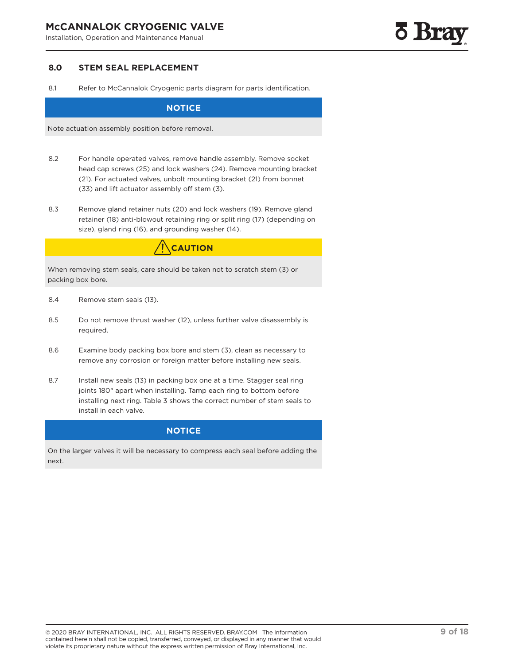## <span id="page-8-0"></span>**McCANNALOK CRYOGENIC VALVE**

Installation, Operation and Maintenance Manual

### **8.0 STEM SEAL REPLACEMENT**

8.1 Refer to McCannalok Cryogenic parts diagram for parts identification.

## **NOTICE**

Note actuation assembly position before removal.

- 8.2 For handle operated valves, remove handle assembly. Remove socket head cap screws (25) and lock washers (24). Remove mounting bracket (21). For actuated valves, unbolt mounting bracket (21) from bonnet (33) and lift actuator assembly off stem (3).
- 8.3 Remove gland retainer nuts (20) and lock washers (19). Remove gland retainer (18) anti-blowout retaining ring or split ring (17) (depending on size), gland ring (16), and grounding washer (14).

## **CAUTION**

When removing stem seals, care should be taken not to scratch stem (3) or packing box bore.

- 8.4 Remove stem seals (13).
- 8.5 Do not remove thrust washer (12), unless further valve disassembly is required.
- 8.6 Examine body packing box bore and stem (3), clean as necessary to remove any corrosion or foreign matter before installing new seals.
- 8.7 Install new seals (13) in packing box one at a time. Stagger seal ring joints 180° apart when installing. Tamp each ring to bottom before installing next ring. Table 3 shows the correct number of stem seals to install in each valve.

## **NOTICE**

On the larger valves it will be necessary to compress each seal before adding the next.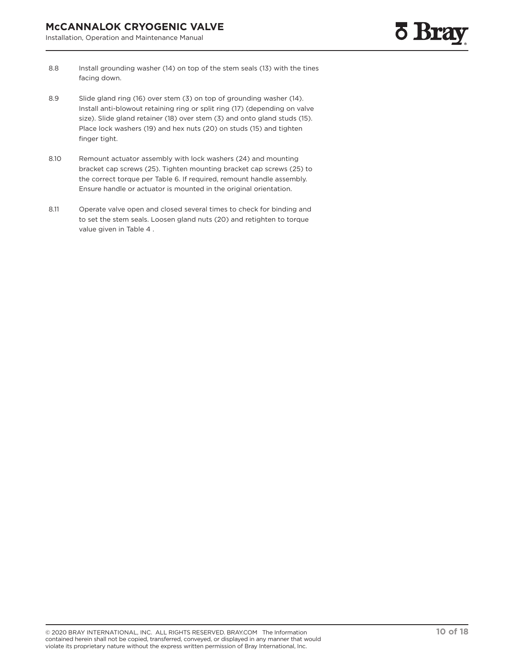- 8.8 Install grounding washer (14) on top of the stem seals (13) with the tines facing down.
- 8.9 Slide gland ring (16) over stem (3) on top of grounding washer (14). Install anti-blowout retaining ring or split ring (17) (depending on valve size). Slide gland retainer (18) over stem (3) and onto gland studs (15). Place lock washers (19) and hex nuts (20) on studs (15) and tighten finger tight.
- 8.10 Remount actuator assembly with lock washers (24) and mounting bracket cap screws (25). Tighten mounting bracket cap screws (25) to the correct torque per Table 6. If required, remount handle assembly. Ensure handle or actuator is mounted in the original orientation.
- 8.11 Operate valve open and closed several times to check for binding and to set the stem seals. Loosen gland nuts (20) and retighten to torque value given in Table 4 .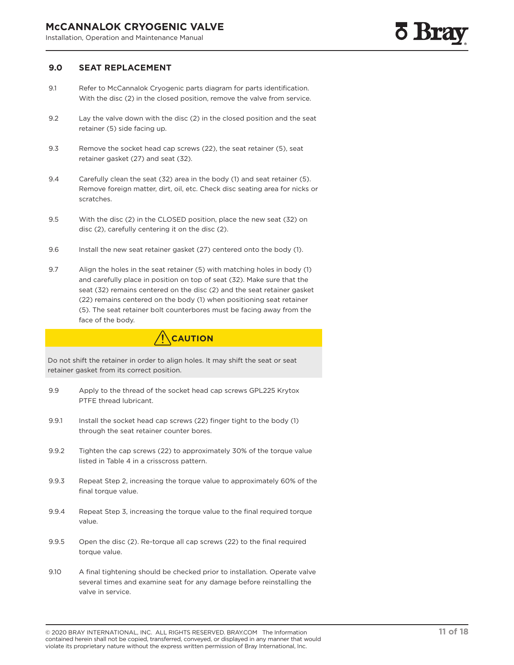## <span id="page-10-0"></span>**9.0 SEAT REPLACEMENT**

- 9.1 Refer to McCannalok Cryogenic parts diagram for parts identification. With the disc (2) in the closed position, remove the valve from service.
- 9.2 Lay the valve down with the disc (2) in the closed position and the seat retainer (5) side facing up.
- 9.3 Remove the socket head cap screws (22), the seat retainer (5), seat retainer gasket (27) and seat (32).
- 9.4 Carefully clean the seat (32) area in the body (1) and seat retainer (5). Remove foreign matter, dirt, oil, etc. Check disc seating area for nicks or scratches.
- 9.5 With the disc (2) in the CLOSED position, place the new seat (32) on disc (2), carefully centering it on the disc (2).
- 9.6 Install the new seat retainer gasket (27) centered onto the body (1).
- 9.7 Align the holes in the seat retainer (5) with matching holes in body (1) and carefully place in position on top of seat (32). Make sure that the seat (32) remains centered on the disc (2) and the seat retainer gasket (22) remains centered on the body (1) when positioning seat retainer (5). The seat retainer bolt counterbores must be facing away from the face of the body.

## **CAUTION**

Do not shift the retainer in order to align holes. It may shift the seat or seat retainer gasket from its correct position.

- 9.9 Apply to the thread of the socket head cap screws GPL225 Krytox PTFE thread lubricant.
- 9.9.1 Install the socket head cap screws (22) finger tight to the body (1) through the seat retainer counter bores.
- 9.9.2 Tighten the cap screws (22) to approximately 30% of the torque value listed in Table 4 in a crisscross pattern.
- 9.9.3 Repeat Step 2, increasing the torque value to approximately 60% of the final torque value.
- 9.9.4 Repeat Step 3, increasing the torque value to the final required torque value.
- 9.9.5 Open the disc (2). Re-torque all cap screws (22) to the final required torque value.
- 9.10 A final tightening should be checked prior to installation. Operate valve several times and examine seat for any damage before reinstalling the valve in service.

<sup>© 2020</sup> BRAY INTERNATIONAL, INC. ALL RIGHTS RESERVED. BRAY.COM The Information contained herein shall not be copied, transferred, conveyed, or displayed in any manner that would violate its proprietary nature without the express written permission of Bray International, Inc.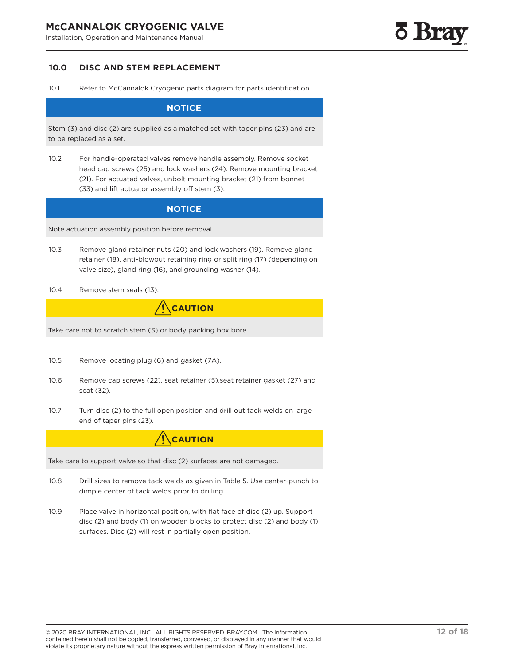## <span id="page-11-0"></span>**10.0 DISC AND STEM REPLACEMENT**

10.1 Refer to McCannalok Cryogenic parts diagram for parts identification.

#### **NOTICE**

Stem (3) and disc (2) are supplied as a matched set with taper pins (23) and are to be replaced as a set.

10.2 For handle-operated valves remove handle assembly. Remove socket head cap screws (25) and lock washers (24). Remove mounting bracket (21). For actuated valves, unbolt mounting bracket (21) from bonnet (33) and lift actuator assembly off stem (3).

### **NOTICE**

Note actuation assembly position before removal.

- 10.3 Remove gland retainer nuts (20) and lock washers (19). Remove gland retainer (18), anti-blowout retaining ring or split ring (17) (depending on valve size), gland ring (16), and grounding washer (14).
- 10.4 Remove stem seals (13).



Take care not to scratch stem (3) or body packing box bore.

- 10.5 Remove locating plug (6) and gasket (7A).
- 10.6 Remove cap screws (22), seat retainer (5),seat retainer gasket (27) and seat (32).
- 10.7 Turn disc (2) to the full open position and drill out tack welds on large end of taper pins (23).

**CAUTION**

Take care to support valve so that disc (2) surfaces are not damaged.

- 10.8 Drill sizes to remove tack welds as given in Table 5. Use center-punch to dimple center of tack welds prior to drilling.
- 10.9 Place valve in horizontal position, with flat face of disc (2) up. Support disc (2) and body (1) on wooden blocks to protect disc (2) and body (1) surfaces. Disc (2) will rest in partially open position.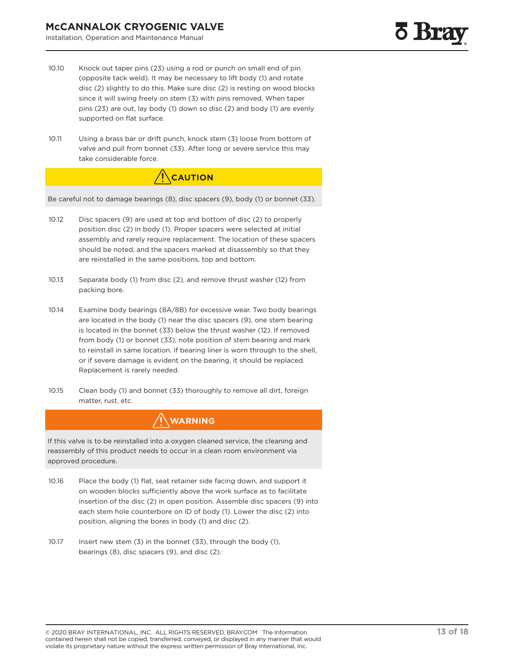- 10.10 Knock out taper pins (23) using a rod or punch on small end of pin (opposite tack weld). It may be necessary to lift body (1) and rotate disc (2) slightly to do this. Make sure disc (2) is resting on wood blocks since it will swing freely on stem (3) with pins removed. When taper pins (23) are out, lay body (1) down so disc (2) and body (1) are evenly supported on flat surface.
- 10.11 Using a brass bar or drift punch, knock stem (3) loose from bottom of valve and pull from bonnet (33). After long or severe service this may take considerable force.



Be careful not to damage bearings (8), disc spacers (9), body (1) or bonnet (33).

- 10.12 Disc spacers (9) are used at top and bottom of disc (2) to properly position disc (2) in body (1). Proper spacers were selected at initial assembly and rarely require replacement. The location of these spacers should be noted, and the spacers marked at disassembly so that they are reinstalled in the same positions, top and bottom.
- 10.13 Separate body (1) from disc (2), and remove thrust washer (12) from packing bore.
- 10.14 Examine body bearings (8A/8B) for excessive wear. Two body bearings are located in the body (1) near the disc spacers (9), one stem bearing is located in the bonnet (33) below the thrust washer (12). If removed from body (1) or bonnet (33), note position of stem bearing and mark to reinstall in same location. If bearing liner is worn through to the shell, or if severe damage is evident on the bearing, it should be replaced. Replacement is rarely needed.
- 10.15 Clean body (1) and bonnet (33) thoroughly to remove all dirt, foreign matter, rust, etc.

## **WARNING**

If this valve is to be reinstalled into a oxygen cleaned service, the cleaning and reassembly of this product needs to occur in a clean room environment via approved procedure.

- 10.16 Place the body (1) flat, seat retainer side facing down, and support it on wooden blocks sufficiently above the work surface as to facilitate insertion of the disc (2) in open position. Assemble disc spacers (9) into each stem hole counterbore on ID of body (1). Lower the disc (2) into position, aligning the bores in body (1) and disc (2).
- 10.17 Insert new stem (3) in the bonnet (33), through the body (1), bearings (8), disc spacers (9), and disc (2).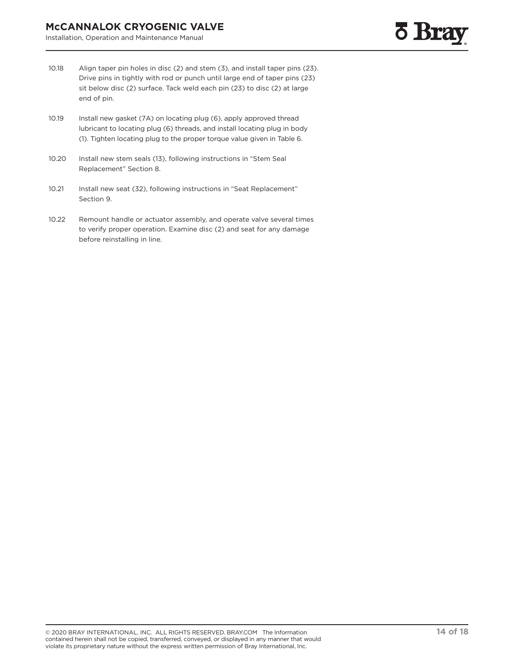- 10.18 Align taper pin holes in disc (2) and stem (3), and install taper pins (23). Drive pins in tightly with rod or punch until large end of taper pins (23) sit below disc (2) surface. Tack weld each pin (23) to disc (2) at large end of pin.
- 10.19 Install new gasket (7A) on locating plug (6), apply approved thread lubricant to locating plug (6) threads, and install locating plug in body (1). Tighten locating plug to the proper torque value given in Table 6.
- 10.20 Install new stem seals (13), following instructions in "Stem Seal Replacement" Section 8.
- 10.21 Install new seat (32), following instructions in "Seat Replacement" Section 9.
- 10.22 Remount handle or actuator assembly, and operate valve several times to verify proper operation. Examine disc (2) and seat for any damage before reinstalling in line.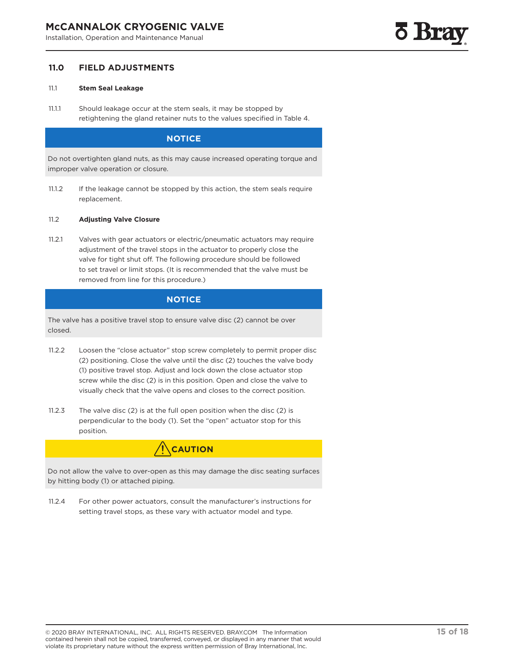## <span id="page-14-0"></span>**11.0 FIELD ADJUSTMENTS**

#### 11.1 **Stem Seal Leakage**

11.1.1 Should leakage occur at the stem seals, it may be stopped by retightening the gland retainer nuts to the values specified in Table 4.

## **NOTICE**

Do not overtighten gland nuts, as this may cause increased operating torque and improper valve operation or closure.

11.1.2 If the leakage cannot be stopped by this action, the stem seals require replacement.

#### 11.2 **Adjusting Valve Closure**

11.2.1 Valves with gear actuators or electric/pneumatic actuators may require adjustment of the travel stops in the actuator to properly close the valve for tight shut off. The following procedure should be followed to set travel or limit stops. (It is recommended that the valve must be removed from line for this procedure.)

## **NOTICE**

The valve has a positive travel stop to ensure valve disc (2) cannot be over closed.

- 11.2.2 Loosen the "close actuator" stop screw completely to permit proper disc (2) positioning. Close the valve until the disc (2) touches the valve body (1) positive travel stop. Adjust and lock down the close actuator stop screw while the disc (2) is in this position. Open and close the valve to visually check that the valve opens and closes to the correct position.
- 11.2.3 The valve disc (2) is at the full open position when the disc (2) is perpendicular to the body (1). Set the "open" actuator stop for this position.

# **CAUTION**

Do not allow the valve to over-open as this may damage the disc seating surfaces by hitting body (1) or attached piping.

11.2.4 For other power actuators, consult the manufacturer's instructions for setting travel stops, as these vary with actuator model and type.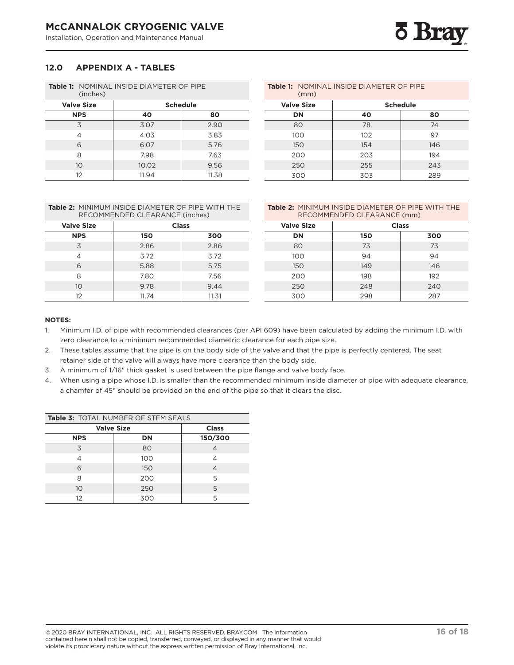## <span id="page-15-0"></span>**12.0 APPENDIX A - TABLES**

| <b>Table 1: NOMINAL INSIDE DIAMETER OF PIPE</b><br>(inches) |                 |       |  |  |  |
|-------------------------------------------------------------|-----------------|-------|--|--|--|
| <b>Valve Size</b>                                           | <b>Schedule</b> |       |  |  |  |
| <b>NPS</b>                                                  | 40              | 80    |  |  |  |
| 3                                                           | 3.07            | 2.90  |  |  |  |
| 4                                                           | 4.03            | 3.83  |  |  |  |
| 6                                                           | 6.07            | 5.76  |  |  |  |
| 8                                                           | 7.98            | 7.63  |  |  |  |
| 10                                                          | 10.02           | 9.56  |  |  |  |
| 12                                                          | 11.94           | 11.38 |  |  |  |

| (mm)              | <b>Table 1: NOMINAL INSIDE DIAMETER OF PIPE</b> |                 |
|-------------------|-------------------------------------------------|-----------------|
| <b>Valve Size</b> |                                                 | <b>Schedule</b> |
| DN                | 40                                              | 80              |
| 80                | 78                                              | 74              |
| 100               | 102                                             | 97              |
| 150               | 154                                             | 146             |
| 200               | 203                                             | 194             |
| 250               | 255                                             | 243             |
| 300               | 303                                             | 289             |

|  | <b>Table 2: MINIMUM INSIDE DIAMETER OF PIPE WITH THE</b><br>RECOMMENDED CLEARANCE (inches) |
|--|--------------------------------------------------------------------------------------------|
|  |                                                                                            |

| <b>Valve Size</b> | <b>Class</b> |       |  |
|-------------------|--------------|-------|--|
| <b>NPS</b>        | 150          | 300   |  |
| 3                 | 2.86         | 2.86  |  |
|                   | 3.72         | 3.72  |  |
| 6                 | 5.88         | 5.75  |  |
| 8                 | 7.80         | 7.56  |  |
| 10                | 9.78         | 9.44  |  |
| 12                | 11.74        | 11.31 |  |

| <b>Table 2:</b> MINIMUM INSIDE DIAMETER OF PIPE WITH THE |
|----------------------------------------------------------|
| RECOMMENDED CLEARANCE (mm)                               |

| <b>Valve Size</b> | <b>Class</b> |     |  |
|-------------------|--------------|-----|--|
| DN                | 150          | 300 |  |
| 80                | 73           | 73  |  |
| 100               | 94           | 94  |  |
| 150               | 149          | 146 |  |
| 200               | 198          | 192 |  |
| 250               | 248          | 240 |  |
| 300               | 298          | 287 |  |

#### **NOTES:**

- 1. Minimum I.D. of pipe with recommended clearances (per API 609) have been calculated by adding the minimum I.D. with zero clearance to a minimum recommended diametric clearance for each pipe size.
- 2. These tables assume that the pipe is on the body side of the valve and that the pipe is perfectly centered. The seat retainer side of the valve will always have more clearance than the body side.
- 3. A minimum of 1/16" thick gasket is used between the pipe flange and valve body face.
- 4. When using a pipe whose I.D. is smaller than the recommended minimum inside diameter of pipe with adequate clearance, a chamfer of 45° should be provided on the end of the pipe so that it clears the disc.

| <b>Table 3: TOTAL NUMBER OF STEM SEALS</b> |                                   |                |  |  |  |
|--------------------------------------------|-----------------------------------|----------------|--|--|--|
|                                            | <b>Valve Size</b><br><b>Class</b> |                |  |  |  |
| <b>NPS</b>                                 | 150/300                           |                |  |  |  |
| 3                                          | 80                                | 4              |  |  |  |
| 100<br>4                                   |                                   | 4              |  |  |  |
| 6                                          | 150                               | $\overline{4}$ |  |  |  |
| 8                                          | 200                               | 5              |  |  |  |
| 10                                         | 250                               | 5              |  |  |  |
| 12                                         | 300                               | 5              |  |  |  |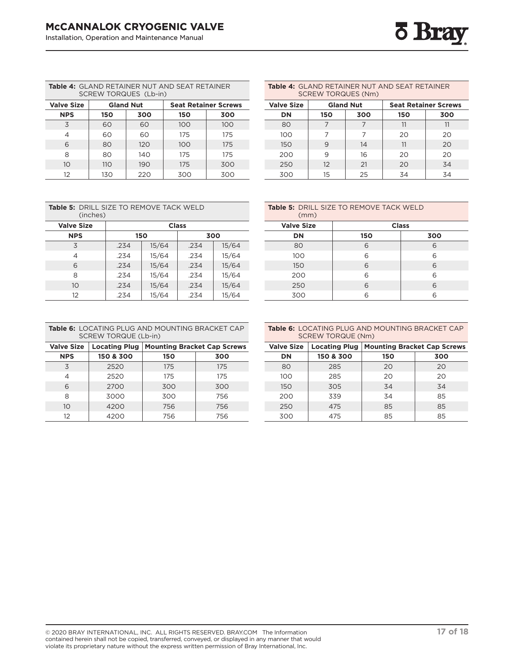

**Table 4:** GLAND RETAINER NUT AND SEAT RETAINER SCREW TORQUES (Lb-in)

| <b>Valve Size</b><br><b>Gland Nut</b> |     |     |     | <b>Seat Retainer Screws</b> |  |  |
|---------------------------------------|-----|-----|-----|-----------------------------|--|--|
| <b>NPS</b>                            | 150 | 300 | 150 | 300                         |  |  |
| 3                                     | 60  | 60  | 100 | 100                         |  |  |
| 4                                     | 60  | 60  | 175 | 175                         |  |  |
| 6                                     | 80  | 120 | 100 | 175                         |  |  |
| 8                                     | 80  | 140 | 175 | 175                         |  |  |
| 10                                    | 110 | 190 | 175 | 300                         |  |  |
| 12                                    | 130 | 220 | 300 | 300                         |  |  |

| Table 4: GLAND RETAINER NUT AND SEAT RETAINER<br><b>SCREW TORQUES (Nm)</b> |                                                 |     |     |     |  |  |
|----------------------------------------------------------------------------|-------------------------------------------------|-----|-----|-----|--|--|
| <b>Valve Size</b>                                                          | <b>Gland Nut</b><br><b>Seat Retainer Screws</b> |     |     |     |  |  |
| DN                                                                         | 150                                             | 300 | 150 | 300 |  |  |
| 80                                                                         |                                                 | 7   | 11  | 11  |  |  |
| 100                                                                        |                                                 | 7   | 20  | 20  |  |  |
| 150                                                                        | 9                                               | 14  | 11  | 20  |  |  |
| 200                                                                        | 9                                               | 16  | 20  | 20  |  |  |
| 250                                                                        | 12                                              | 21  | 20  | 34  |  |  |
| 300                                                                        | 15                                              | 25  | 34  | 34  |  |  |

| <b>Table 5: DRILL SIZE TO REMOVE TACK WELD</b><br>(inches) |            |       |              |       |  |  |
|------------------------------------------------------------|------------|-------|--------------|-------|--|--|
| <b>Valve Size</b>                                          |            |       | <b>Class</b> |       |  |  |
| <b>NPS</b>                                                 | 150<br>300 |       |              |       |  |  |
| 3                                                          | .234       | 15/64 | .234         | 15/64 |  |  |
| 4                                                          | .234       | 15/64 | .234         | 15/64 |  |  |
| 6                                                          | .234       | 15/64 | .234         | 15/64 |  |  |
| 8                                                          | .234       | 15/64 | .234         | 15/64 |  |  |
| 10                                                         | .234       | 15/64 | .234         | 15/64 |  |  |
| 12                                                         | .234       | 15/64 | .234         | 15/64 |  |  |

| <b>Table 5: DRILL SIZE TO REMOVE TACK WELD</b><br>(mm) |              |     |  |  |
|--------------------------------------------------------|--------------|-----|--|--|
| <b>Valve Size</b>                                      | <b>Class</b> |     |  |  |
| DN                                                     | 150          | 300 |  |  |
| 80                                                     | 6            | 6   |  |  |
| 100                                                    | 6            | 6   |  |  |
| 150                                                    | 6            | 6   |  |  |
| 200                                                    | 6            | 6   |  |  |
| 250                                                    | 6            | 6   |  |  |
| 300                                                    | հ            | 6   |  |  |

| <b>Table 6:</b> LOCATING PLUG AND MOUNTING BRACKET CAP<br>SCREW TORQUE (Lb-in) |                                                          |  |  |  |
|--------------------------------------------------------------------------------|----------------------------------------------------------|--|--|--|
|                                                                                | Valve Size   Locating Plug   Mounting Bracket Cap Screws |  |  |  |
|                                                                                |                                                          |  |  |  |

| 11 F J          | 1972 U.S. | 13 V | <u>JUV</u> |
|-----------------|-----------|------|------------|
| 3               | 2520      | 175  | 175        |
|                 | 2520      | 175  | 175        |
| 6               | 2700      | 300  | 300        |
| 8               | 3000      | 300  | 756        |
| 10 <sup>°</sup> | 4200      | 756  | 756        |
| 12              | 4200      | 756  | 756        |

| <b>Table 6:</b> LOCATING PLUG AND MOUNTING BRACKET CAP |
|--------------------------------------------------------|
| SCREW TORQUE (Nm)                                      |

| <b>Valve Size</b> | <b>Locating Plug</b> | <b>Mounting Bracket Cap Screws</b> |     |
|-------------------|----------------------|------------------------------------|-----|
| DN                | 150 & 300            | 150                                | 300 |
| 80                | 285                  | 20                                 | 20  |
| 100               | 285                  | 20                                 | 20  |
| 150               | 305                  | 34                                 | 34  |
| 200               | 339                  | 34                                 | 85  |
| 250               | 475                  | 85                                 | 85  |
| 300               | 475                  | 85                                 | 85  |